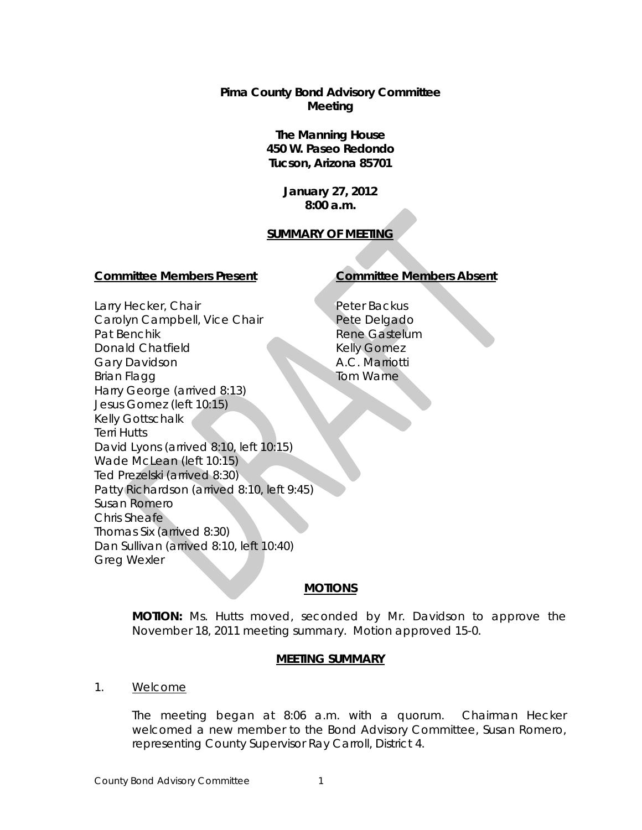**Pima County Bond Advisory Committee Meeting**

> **The Manning House 450 W. Paseo Redondo Tucson, Arizona 85701**

> > **January 27, 2012 8:00 a.m.**

# **SUMMARY OF MEETING**

## **Committee Members Present Committee Members Absent**

# Larry Hecker, Chair Carolyn Campbell, Vice Chair Pat Benchik Donald Chatfield Gary Davidson Brian Flagg Harry George (arrived 8:13) Jesus Gomez (left 10:15) Kelly Gottschalk Terri Hutts David Lyons (arrived 8:10, left 10:15) Wade McLean (left 10:15) Ted Prezelski (arrived 8:30) Patty Richardson (arrived 8:10, left 9:45) Susan Romero Chris Sheafe Thomas Six (arrived 8:30) Dan Sullivan (arrived 8:10, left 10:40) Greg Wexler

Peter Backus Pete Delgado Rene Gastelum Kelly Gomez A.C. Marriotti Tom Warne

# **MOTIONS**

**MOTION:** Ms. Hutts moved, seconded by Mr. Davidson to approve the November 18, 2011 meeting summary. Motion approved 15-0.

## **MEETING SUMMARY**

1. Welcome

The meeting began at 8:06 a.m. with a quorum. Chairman Hecker welcomed a new member to the Bond Advisory Committee, Susan Romero, representing County Supervisor Ray Carroll, District 4.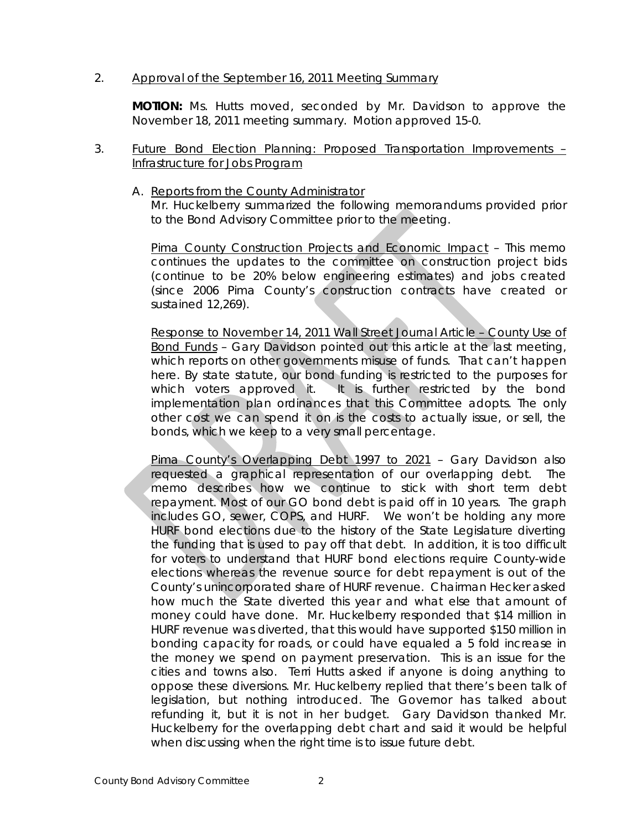## 2. Approval of the September 16, 2011 Meeting Summary

**MOTION:** Ms. Hutts moved, seconded by Mr. Davidson to approve the November 18, 2011 meeting summary. Motion approved 15-0.

- 3. Future Bond Election Planning: Proposed Transportation Improvements Infrastructure for Jobs Program
	- A. Reports from the County Administrator

Mr. Huckelberry summarized the following memorandums provided prior to the Bond Advisory Committee prior to the meeting.

Pima County Construction Projects and Economic Impact – This memo continues the updates to the committee on construction project bids (continue to be 20% below engineering estimates) and jobs created (since 2006 Pima County's construction contracts have created or sustained 12,269).

Response to November 14, 2011 Wall Street Journal Article – County Use of Bond Funds – Gary Davidson pointed out this article at the last meeting, which reports on other governments misuse of funds. That can't happen here. By state statute, our bond funding is restricted to the purposes for which voters approved it. It is further restricted by the bond implementation plan ordinances that this Committee adopts. The only other cost we can spend it on is the costs to actually issue, or sell, the bonds, which we keep to a very small percentage.

Pima County's Overlapping Debt 1997 to 2021 - Gary Davidson also requested a graphical representation of our overlapping debt. The memo describes how we continue to stick with short term debt repayment. Most of our GO bond debt is paid off in 10 years. The graph includes GO, sewer, COPS, and HURF. We won't be holding any more HURF bond elections due to the history of the State Legislature diverting the funding that is used to pay off that debt. In addition, it is too difficult for voters to understand that HURF bond elections require County-wide elections whereas the revenue source for debt repayment is out of the County's unincorporated share of HURF revenue. Chairman Hecker asked how much the State diverted this year and what else that amount of money could have done. Mr. Huckelberry responded that \$14 million in HURF revenue was diverted, that this would have supported \$150 million in bonding capacity for roads, or could have equaled a 5 fold increase in the money we spend on payment preservation. This is an issue for the cities and towns also. Terri Hutts asked if anyone is doing anything to oppose these diversions. Mr. Huckelberry replied that there's been talk of legislation, but nothing introduced. The Governor has talked about refunding it, but it is not in her budget. Gary Davidson thanked Mr. Huckelberry for the overlapping debt chart and said it would be helpful when discussing when the right time is to issue future debt.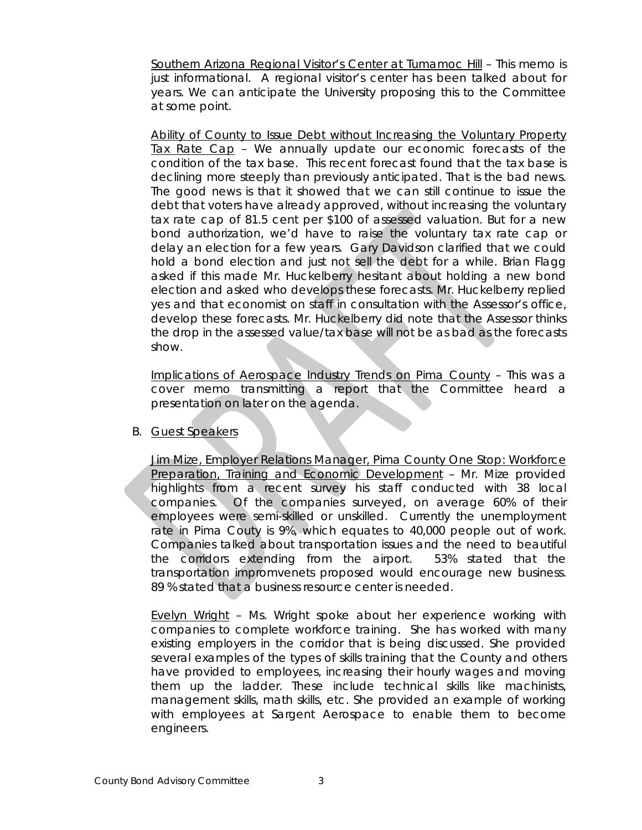Southern Arizona Regional Visitor's Center at Tumamoc Hill – This memo is just informational. A regional visitor's center has been talked about for years. We can anticipate the University proposing this to the Committee at some point.

Ability of County to Issue Debt without Increasing the Voluntary Property Tax Rate Cap – We annually update our economic forecasts of the condition of the tax base. This recent forecast found that the tax base is declining more steeply than previously anticipated. That is the bad news. The good news is that it showed that we can still continue to issue the debt that voters have already approved, without increasing the voluntary tax rate cap of 81.5 cent per \$100 of assessed valuation. But for a new bond authorization, we'd have to raise the voluntary tax rate cap or delay an election for a few years. Gary Davidson clarified that we could hold a bond election and just not sell the debt for a while. Brian Flagg asked if this made Mr. Huckelberry hesitant about holding a new bond election and asked who develops these forecasts. Mr. Huckelberry replied yes and that economist on staff in consultation with the Assessor's office, develop these forecasts. Mr. Huckelberry did note that the Assessor thinks the drop in the assessed value/tax base will not be as bad as the forecasts show.

Implications of Aerospace Industry Trends on Pima County – This was a cover memo transmitting a report that the Committee heard a presentation on later on the agenda.

B. Guest Speakers

Jim Mize, Employer Relations Manager, Pima County One Stop: Workforce Preparation, Training and Economic Development – Mr. Mize provided highlights from a recent survey his staff conducted with 38 local companies. Of the companies surveyed, on average 60% of their employees were semi-skilled or unskilled. Currently the unemployment rate in Pima Couty is 9%, which equates to 40,000 people out of work. Companies talked about transportation issues and the need to beautiful the corridors extending from the airport. 53% stated that the transportation impromvenets proposed would encourage new business. 89 % stated that a business resource center is needed.

Evelyn Wright – Ms. Wright spoke about her experience working with companies to complete workforce training. She has worked with many existing employers in the corridor that is being discussed. She provided several examples of the types of skills training that the County and others have provided to employees, increasing their hourly wages and moving them up the ladder. These include technical skills like machinists, management skills, math skills, etc. She provided an example of working with employees at Sargent Aerospace to enable them to become engineers.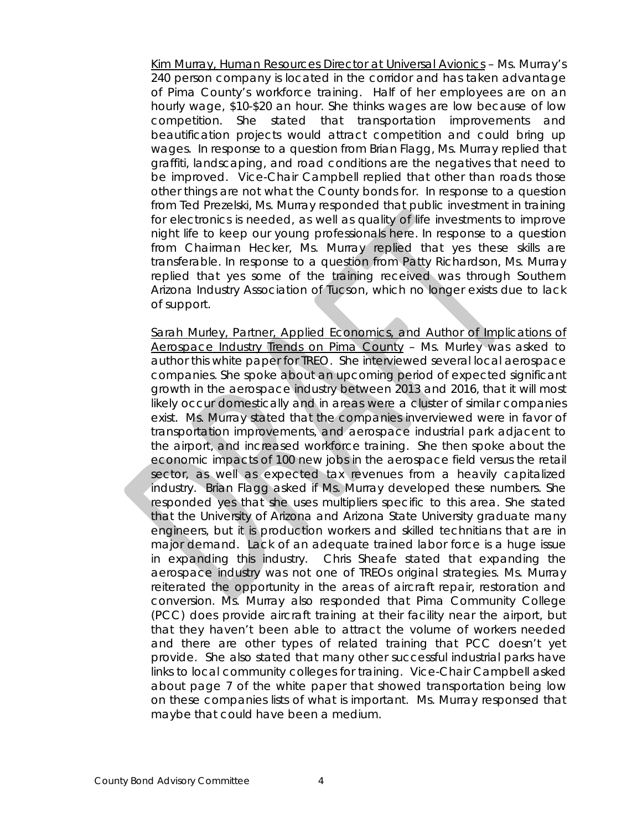Kim Murray, Human Resources Director at Universal Avionics – Ms. Murray's 240 person company is located in the corridor and has taken advantage of Pima County's workforce training. Half of her employees are on an hourly wage, \$10-\$20 an hour. She thinks wages are low because of low competition. She stated that transportation improvements and beautification projects would attract competition and could bring up wages. In response to a question from Brian Flagg, Ms. Murray replied that graffiti, landscaping, and road conditions are the negatives that need to be improved. Vice-Chair Campbell replied that other than roads those other things are not what the County bonds for. In response to a question from Ted Prezelski, Ms. Murray responded that public investment in training for electronics is needed, as well as quality of life investments to improve night life to keep our young professionals here. In response to a question from Chairman Hecker, Ms. Murray replied that yes these skills are transferable. In response to a question from Patty Richardson, Ms. Murray replied that yes some of the training received was through Southern Arizona Industry Association of Tucson, which no longer exists due to lack of support.

Sarah Murley, Partner, Applied Economics, and Author of Implications of Aerospace Industry Trends on Pima County – Ms. Murley was asked to author this white paper for TREO. She interviewed several local aerospace companies. She spoke about an upcoming period of expected significant growth in the aerospace industry between 2013 and 2016, that it will most likely occur domestically and in areas were a cluster of similar companies exist. Ms. Murray stated that the companies inverviewed were in favor of transportation improvements, and aerospace industrial park adjacent to the airport, and increased workforce training. She then spoke about the economic impacts of 100 new jobs in the aerospace field versus the retail sector, as well as expected tax revenues from a heavily capitalized industry. Brian Flagg asked if Ms. Murray developed these numbers. She responded yes that she uses multipliers specific to this area. She stated that the University of Arizona and Arizona State University graduate many engineers, but it is production workers and skilled technitians that are in major demand. Lack of an adequate trained labor force is a huge issue in expanding this industry. Chris Sheafe stated that expanding the aerospace industry was not one of TREOs original strategies. Ms. Murray reiterated the opportunity in the areas of aircraft repair, restoration and conversion. Ms. Murray also responded that Pima Community College (PCC) does provide aircraft training at their facility near the airport, but that they haven't been able to attract the volume of workers needed and there are other types of related training that PCC doesn't yet provide. She also stated that many other successful industrial parks have links to local community colleges for training. Vice-Chair Campbell asked about page 7 of the white paper that showed transportation being low on these companies lists of what is important. Ms. Murray responsed that maybe that could have been a medium.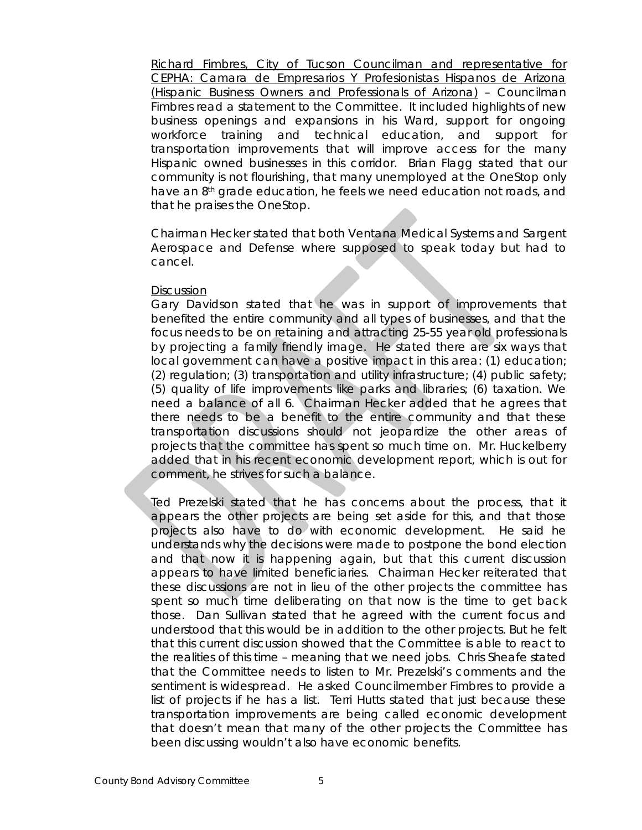Richard Fimbres, City of Tucson Councilman and representative for CEPHA: Camara de Empresarios Y Profesionistas Hispanos de Arizona (Hispanic Business Owners and Professionals of Arizona) – Councilman Fimbres read a statement to the Committee. It included highlights of new business openings and expansions in his Ward, support for ongoing workforce training and technical education, and support for transportation improvements that will improve access for the many Hispanic owned businesses in this corridor. Brian Flagg stated that our community is not flourishing, that many unemployed at the OneStop only have an 8<sup>th</sup> grade education, he feels we need education not roads, and that he praises the OneStop.

Chairman Hecker stated that both Ventana Medical Systems and Sargent Aerospace and Defense where supposed to speak today but had to cancel.

### **Discussion**

Gary Davidson stated that he was in support of improvements that benefited the entire community and all types of businesses, and that the focus needs to be on retaining and attracting 25-55 year old professionals by projecting a family friendly image. He stated there are six ways that local government can have a positive impact in this area: (1) education; (2) regulation; (3) transportation and utility infrastructure; (4) public safety; (5) quality of life improvements like parks and libraries; (6) taxation. We need a balance of all 6. Chairman Hecker added that he agrees that there needs to be a benefit to the entire community and that these transportation discussions should not jeopardize the other areas of projects that the committee has spent so much time on. Mr. Huckelberry added that in his recent economic development report, which is out for comment, he strives for such a balance.

Ted Prezelski stated that he has concerns about the process, that it appears the other projects are being set aside for this, and that those projects also have to do with economic development. He said he understands why the decisions were made to postpone the bond election and that now it is happening again, but that this current discussion appears to have limited beneficiaries. Chairman Hecker reiterated that these discussions are not in lieu of the other projects the committee has spent so much time deliberating on that now is the time to get back those. Dan Sullivan stated that he agreed with the current focus and understood that this would be in addition to the other projects. But he felt that this current discussion showed that the Committee is able to react to the realities of this time – meaning that we need jobs. Chris Sheafe stated that the Committee needs to listen to Mr. Prezelski's comments and the sentiment is widespread. He asked Councilmember Fimbres to provide a list of projects if he has a list. Terri Hutts stated that just because these transportation improvements are being called economic development that doesn't mean that many of the other projects the Committee has been discussing wouldn't also have economic benefits.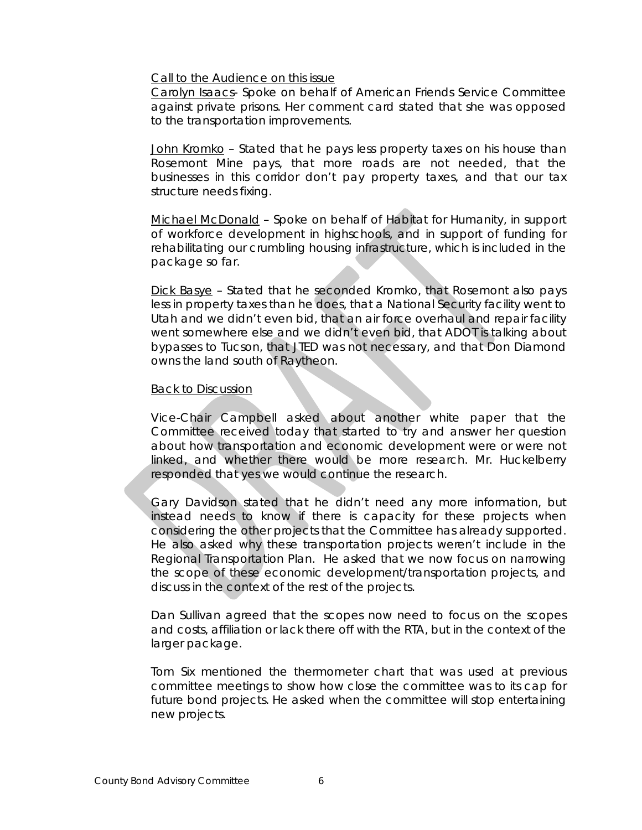#### Call to the Audience on this issue

Carolyn Isaacs- Spoke on behalf of American Friends Service Committee against private prisons. Her comment card stated that she was opposed to the transportation improvements.

John Kromko - Stated that he pays less property taxes on his house than Rosemont Mine pays, that more roads are not needed, that the businesses in this corridor don't pay property taxes, and that our tax structure needs fixing.

Michael McDonald – Spoke on behalf of Habitat for Humanity, in support of workforce development in highschools, and in support of funding for rehabilitating our crumbling housing infrastructure, which is included in the package so far.

Dick Basye - Stated that he seconded Kromko, that Rosemont also pays less in property taxes than he does, that a National Security facility went to Utah and we didn't even bid, that an air force overhaul and repair facility went somewhere else and we didn't even bid, that ADOT is talking about bypasses to Tucson, that JTED was not necessary, and that Don Diamond owns the land south of Raytheon.

### Back to Discussion

Vice-Chair Campbell asked about another white paper that the Committee received today that started to try and answer her question about how transportation and economic development were or were not linked, and whether there would be more research. Mr. Huckelberry responded that yes we would continue the research.

Gary Davidson stated that he didn't need any more information, but instead needs to know if there is capacity for these projects when considering the other projects that the Committee has already supported. He also asked why these transportation projects weren't include in the Regional Transportation Plan. He asked that we now focus on narrowing the scope of these economic development/transportation projects, and discuss in the context of the rest of the projects.

Dan Sullivan agreed that the scopes now need to focus on the scopes and costs, affiliation or lack there off with the RTA, but in the context of the larger package.

Tom Six mentioned the thermometer chart that was used at previous committee meetings to show how close the committee was to its cap for future bond projects. He asked when the committee will stop entertaining new projects.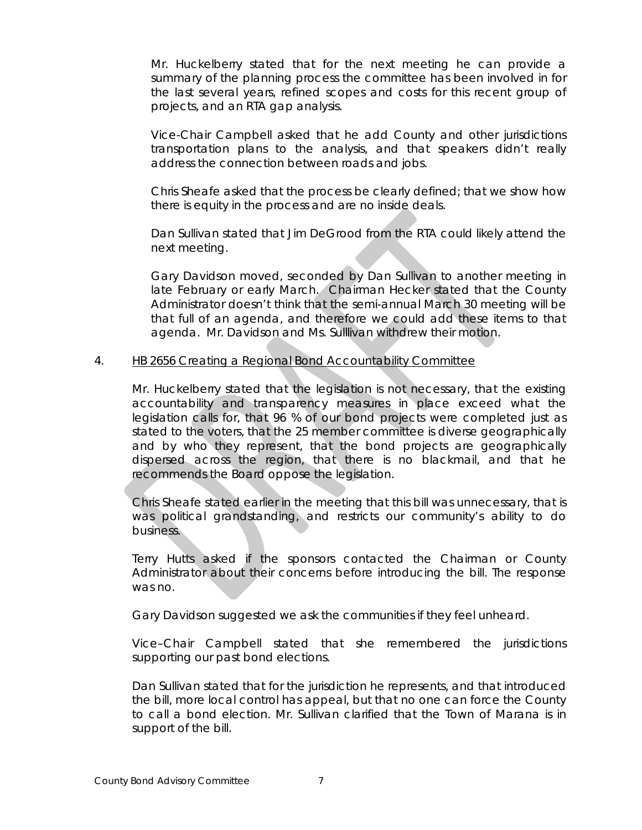Mr. Huckelberry stated that for the next meeting he can provide a summary of the planning process the committee has been involved in for the last several years, refined scopes and costs for this recent group of projects, and an RTA gap analysis.

Vice-Chair Campbell asked that he add County and other jurisdictions transportation plans to the analysis, and that speakers didn't really address the connection between roads and jobs.

Chris Sheafe asked that the process be clearly defined; that we show how there is equity in the process and are no inside deals.

Dan Sullivan stated that Jim DeGrood from the RTA could likely attend the next meeting.

Gary Davidson moved, seconded by Dan Sullivan to another meeting in late February or early March. Chairman Hecker stated that the County Administrator doesn't think that the semi-annual March 30 meeting will be that full of an agenda, and therefore we could add these items to that agenda. Mr. Davidson and Ms. Sulllivan withdrew their motion.

# 4. HB 2656 Creating a Regional Bond Accountability Committee

Mr. Huckelberry stated that the legislation is not necessary, that the existing accountability and transparency measures in place exceed what the legislation calls for, that 96 % of our bond projects were completed just as stated to the voters, that the 25 member committee is diverse geographically and by who they represent, that the bond projects are geographically dispersed across the region, that there is no blackmail, and that he recommends the Board oppose the legislation.

Chris Sheafe stated earlier in the meeting that this bill was unnecessary, that is was political grandstanding, and restricts our community's ability to do business.

Terry Hutts asked if the sponsors contacted the Chairman or County Administrator about their concerns before introducing the bill. The response was no.

Gary Davidson suggested we ask the communities if they feel unheard.

Vice–Chair Campbell stated that she remembered the jurisdictions supporting our past bond elections.

Dan Sullivan stated that for the jurisdiction he represents, and that introduced the bill, more local control has appeal, but that no one can force the County to call a bond election. Mr. Sullivan clarified that the Town of Marana is in support of the bill.